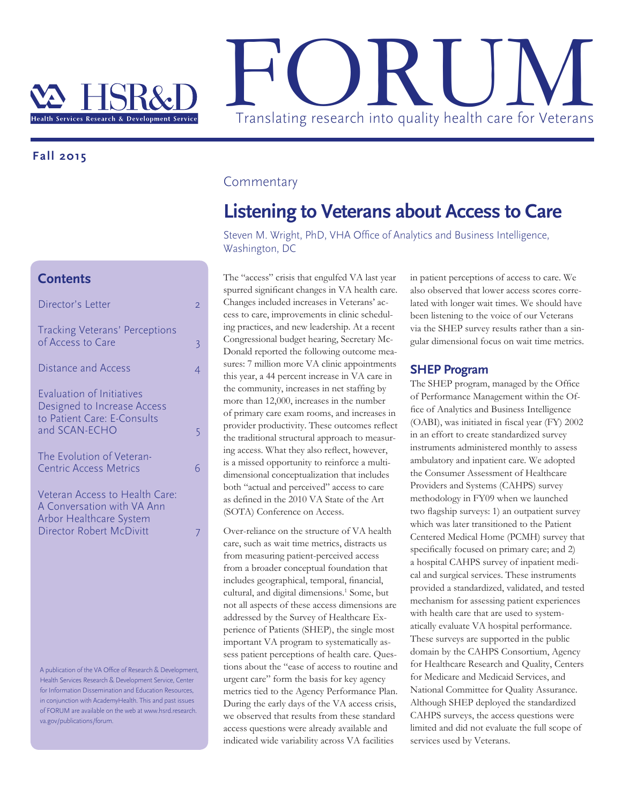

### **Fall 2015**

## **Contents**

| Director's Letter                                                                       | $\overline{2}$ |
|-----------------------------------------------------------------------------------------|----------------|
| <b>Tracking Veterans' Perceptions</b><br>of Access to Care                              | 3              |
| <b>Distance and Access</b>                                                              | 4              |
| Evaluation of Initiatives<br>Designed to Increase Access<br>to Patient Care: E-Consults |                |
| and SCAN-ECHO                                                                           | 5              |
| The Evolution of Veteran-<br><b>Centric Access Metrics</b>                              | 6              |
| Veteran Access to Health Care:<br>A Conversation with VA Ann<br>Arbor Healthcare System |                |
| Director Robert McDivitt                                                                | 7              |
|                                                                                         |                |
|                                                                                         |                |
|                                                                                         |                |

A publication of the VA Office of Research & Development, Health Services Research & Development Service, Center for Information Dissemination and Education Resources, in conjunction with AcademyHealth. This and past issues of FORUM are available on the web at www.hsrd.research. va.gov/publications/forum.

### **Commentary**

# **Listening to Veterans about Access to Care**

Steven M. Wright, PhD, VHA Office of Analytics and Business Intelligence, Washington, DC

The "access" crisis that engulfed VA last year spurred significant changes in VA health care. Changes included increases in Veterans' access to care, improvements in clinic scheduling practices, and new leadership. At a recent Congressional budget hearing, Secretary Mc-Donald reported the following outcome measures: 7 million more VA clinic appointments this year, a 44 percent increase in VA care in the community, increases in net staffing by more than 12,000, increases in the number of primary care exam rooms, and increases in provider productivity. These outcomes reflect the traditional structural approach to measuring access. What they also reflect, however, is a missed opportunity to reinforce a multidimensional conceptualization that includes both "actual and perceived" access to care as defined in the 2010 VA State of the Art (SOTA) Conference on Access.

Over-reliance on the structure of VA health care, such as wait time metrics, distracts us from measuring patient-perceived access from a broader conceptual foundation that includes geographical, temporal, financial, cultural, and digital dimensions.<sup>1</sup> Some, but not all aspects of these access dimensions are addressed by the Survey of Healthcare Experience of Patients (SHEP), the single most important VA program to systematically assess patient perceptions of health care. Questions about the "ease of access to routine and urgent care" form the basis for key agency metrics tied to the Agency Performance Plan. During the early days of the VA access crisis, we observed that results from these standard access questions were already available and indicated wide variability across VA facilities

in patient perceptions of access to care. We also observed that lower access scores correlated with longer wait times. We should have been listening to the voice of our Veterans via the SHEP survey results rather than a singular dimensional focus on wait time metrics.

#### **SHEP Program**

The SHEP program, managed by the Office of Performance Management within the Office of Analytics and Business Intelligence (OABI), was initiated in fiscal year (FY) 2002 in an effort to create standardized survey instruments administered monthly to assess ambulatory and inpatient care. We adopted the Consumer Assessment of Healthcare Providers and Systems (CAHPS) survey methodology in FY09 when we launched two flagship surveys: 1) an outpatient survey which was later transitioned to the Patient Centered Medical Home (PCMH) survey that specifically focused on primary care; and 2) a hospital CAHPS survey of inpatient medical and surgical services. These instruments provided a standardized, validated, and tested mechanism for assessing patient experiences with health care that are used to systematically evaluate VA hospital performance. These surveys are supported in the public domain by the CAHPS Consortium, Agency for Healthcare Research and Quality, Centers for Medicare and Medicaid Services, and National Committee for Quality Assurance. Although SHEP deployed the standardized CAHPS surveys, the access questions were limited and did not evaluate the full scope of services used by Veterans.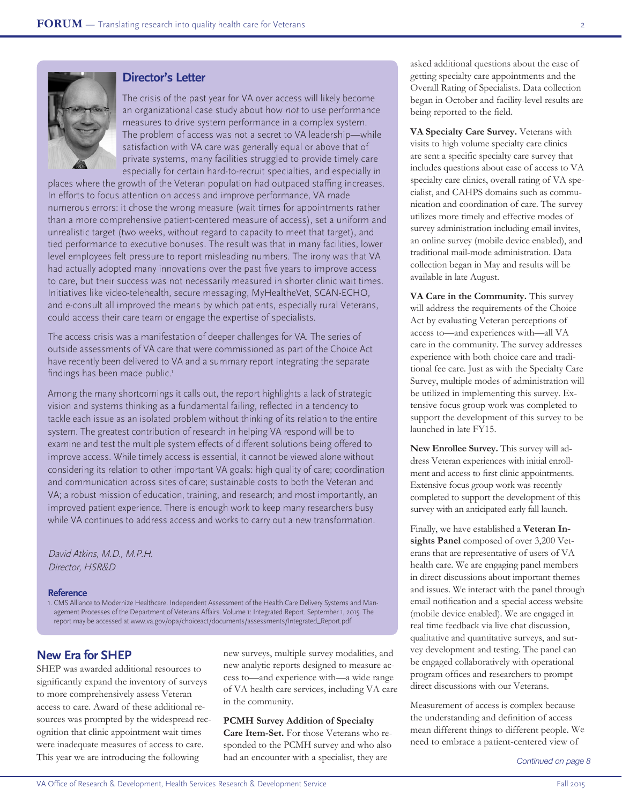

### **Director's Letter**

The crisis of the past year for VA over access will likely become an organizational case study about how not to use performance measures to drive system performance in a complex system. The problem of access was not a secret to VA leadership—while satisfaction with VA care was generally equal or above that of private systems, many facilities struggled to provide timely care especially for certain hard-to-recruit specialties, and especially in

places where the growth of the Veteran population had outpaced staffing increases. In efforts to focus attention on access and improve performance, VA made numerous errors: it chose the wrong measure (wait times for appointments rather than a more comprehensive patient-centered measure of access), set a uniform and unrealistic target (two weeks, without regard to capacity to meet that target), and tied performance to executive bonuses. The result was that in many facilities, lower level employees felt pressure to report misleading numbers. The irony was that VA had actually adopted many innovations over the past five years to improve access to care, but their success was not necessarily measured in shorter clinic wait times. Initiatives like video-telehealth, secure messaging, MyHealtheVet, SCAN-ECHO, and e-consult all improved the means by which patients, especially rural Veterans, could access their care team or engage the expertise of specialists.

The access crisis was a manifestation of deeper challenges for VA. The series of outside assessments of VA care that were commissioned as part of the Choice Act have recently been delivered to VA and a summary report integrating the separate findings has been made public.<sup>1</sup>

Among the many shortcomings it calls out, the report highlights a lack of strategic vision and systems thinking as a fundamental failing, reflected in a tendency to tackle each issue as an isolated problem without thinking of its relation to the entire system. The greatest contribution of research in helping VA respond will be to examine and test the multiple system effects of different solutions being offered to improve access. While timely access is essential, it cannot be viewed alone without considering its relation to other important VA goals: high quality of care; coordination and communication across sites of care; sustainable costs to both the Veteran and VA; a robust mission of education, training, and research; and most importantly, an improved patient experience. There is enough work to keep many researchers busy while VA continues to address access and works to carry out a new transformation.

David Atkins, M.D., M.P.H. Director, HSR&D

#### **Reference**

1. CMS Alliance to Modernize Healthcare. Independent Assessment of the Health Care Delivery Systems and Management Processes of the Department of Veterans Affairs. Volume 1: Integrated Report. September 1, 2015. The report may be accessed at www.va.gov/opa/choiceact/documents/assessments/Integrated\_Report.pdf

### **New Era for SHEP**

SHEP was awarded additional resources to significantly expand the inventory of surveys to more comprehensively assess Veteran access to care. Award of these additional resources was prompted by the widespread recognition that clinic appointment wait times were inadequate measures of access to care. This year we are introducing the following

new surveys, multiple survey modalities, and new analytic reports designed to measure access to—and experience with—a wide range of VA health care services, including VA care in the community.

**PCMH Survey Addition of Specialty** 

**Care Item-Set.** For those Veterans who responded to the PCMH survey and who also had an encounter with a specialist, they are

asked additional questions about the ease of getting specialty care appointments and the Overall Rating of Specialists. Data collection began in October and facility-level results are being reported to the field.

**VA Specialty Care Survey.** Veterans with visits to high volume specialty care clinics are sent a specific specialty care survey that includes questions about ease of access to VA specialty care clinics, overall rating of VA specialist, and CAHPS domains such as communication and coordination of care. The survey utilizes more timely and effective modes of survey administration including email invites, an online survey (mobile device enabled), and traditional mail-mode administration. Data collection began in May and results will be available in late August.

**VA Care in the Community.** This survey will address the requirements of the Choice Act by evaluating Veteran perceptions of access to—and experiences with—all VA care in the community. The survey addresses experience with both choice care and traditional fee care. Just as with the Specialty Care Survey, multiple modes of administration will be utilized in implementing this survey. Extensive focus group work was completed to support the development of this survey to be launched in late FY15.

**New Enrollee Survey.** This survey will address Veteran experiences with initial enrollment and access to first clinic appointments. Extensive focus group work was recently completed to support the development of this survey with an anticipated early fall launch.

Finally, we have established a **Veteran Insights Panel** composed of over 3,200 Veterans that are representative of users of VA health care. We are engaging panel members in direct discussions about important themes and issues. We interact with the panel through email notification and a special access website (mobile device enabled). We are engaged in real time feedback via live chat discussion, qualitative and quantitative surveys, and survey development and testing. The panel can be engaged collaboratively with operational program offices and researchers to prompt direct discussions with our Veterans.

<span id="page-1-0"></span>Measurement of access is complex because the understanding and definition of access mean different things to different people. We need to embrace a patient-centered view of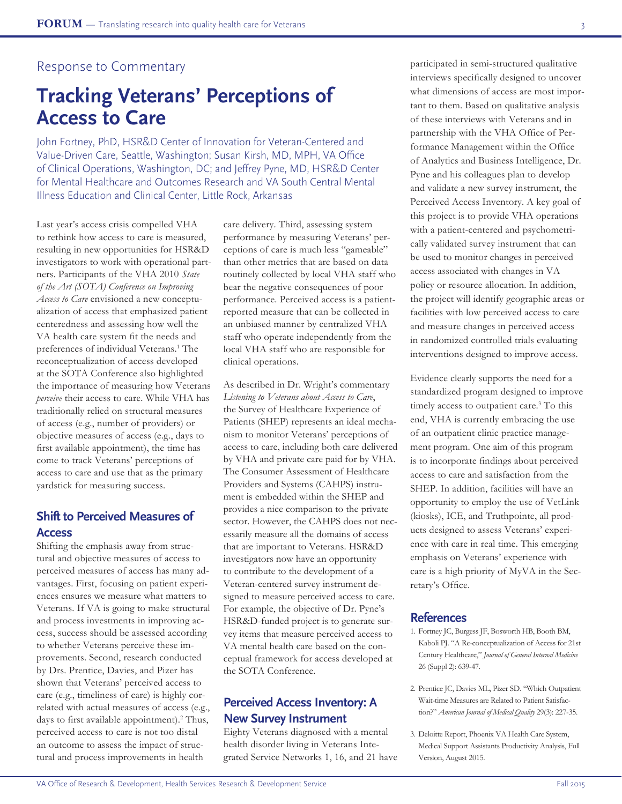## Response to Commentary

# **Tracking Veterans' Perceptions of Access to Care**

John Fortney, PhD, HSR&D Center of Innovation for Veteran-Centered and Value-Driven Care, Seattle, Washington; Susan Kirsh, MD, MPH, VA Office of Clinical Operations, Washington, DC; and Jeffrey Pyne, MD, HSR&D Center for Mental Healthcare and Outcomes Research and VA South Central Mental Illness Education and Clinical Center, Little Rock, Arkansas

Last year's access crisis compelled VHA to rethink how access to care is measured, resulting in new opportunities for HSR&D investigators to work with operational partners. Participants of the VHA 2010 *State of the Art (SOTA) Conference on Improving Access to Care* envisioned a new conceptualization of access that emphasized patient centeredness and assessing how well the VA health care system fit the needs and preferences of individual Veterans.<sup>1</sup> The reconceptualization of access developed at the SOTA Conference also highlighted the importance of measuring how Veterans *perceive* their access to care. While VHA has traditionally relied on structural measures of access (e.g., number of providers) or objective measures of access (e.g., days to first available appointment), the time has come to track Veterans' perceptions of access to care and use that as the primary yardstick for measuring success.

## **Shift to Perceived Measures of Access**

Shifting the emphasis away from structural and objective measures of access to perceived measures of access has many advantages. First, focusing on patient experiences ensures we measure what matters to Veterans. If VA is going to make structural and process investments in improving access, success should be assessed according to whether Veterans perceive these improvements. Second, research conducted by Drs. Prentice, Davies, and Pizer has shown that Veterans' perceived access to care (e.g., timeliness of care) is highly correlated with actual measures of access (e.g., days to first available appointment).<sup>2</sup> Thus, perceived access to care is not too distal an outcome to assess the impact of structural and process improvements in health

care delivery. Third, assessing system performance by measuring Veterans' perceptions of care is much less "gameable" than other metrics that are based on data routinely collected by local VHA staff who bear the negative consequences of poor performance. Perceived access is a patientreported measure that can be collected in an unbiased manner by centralized VHA staff who operate independently from the local VHA staff who are responsible for clinical operations.

As described in Dr. Wright's commentary *Listening to Veterans about Access to Care*, the Survey of Healthcare Experience of Patients (SHEP) represents an ideal mechanism to monitor Veterans' perceptions of access to care, including both care delivered by VHA and private care paid for by VHA. The Consumer Assessment of Healthcare Providers and Systems (CAHPS) instrument is embedded within the SHEP and provides a nice comparison to the private sector. However, the CAHPS does not necessarily measure all the domains of access that are important to Veterans. HSR&D investigators now have an opportunity to contribute to the development of a Veteran-centered survey instrument designed to measure perceived access to care. For example, the objective of Dr. Pyne's HSR&D-funded project is to generate survey items that measure perceived access to VA mental health care based on the conceptual framework for access developed at the SOTA Conference.

## **Perceived Access Inventory: A New Survey Instrument**

Eighty Veterans diagnosed with a mental health disorder living in Veterans Integrated Service Networks 1, 16, and 21 have participated in semi-structured qualitative interviews specifically designed to uncover what dimensions of access are most important to them. Based on qualitative analysis of these interviews with Veterans and in partnership with the VHA Office of Performance Management within the Office of Analytics and Business Intelligence, Dr. Pyne and his colleagues plan to develop and validate a new survey instrument, the Perceived Access Inventory. A key goal of this project is to provide VHA operations with a patient-centered and psychometrically validated survey instrument that can be used to monitor changes in perceived access associated with changes in VA policy or resource allocation. In addition, the project will identify geographic areas or facilities with low perceived access to care and measure changes in perceived access in randomized controlled trials evaluating interventions designed to improve access.

Evidence clearly supports the need for a standardized program designed to improve timely access to outpatient care.<sup>3</sup> To this end, VHA is currently embracing the use of an outpatient clinic practice management program. One aim of this program is to incorporate findings about perceived access to care and satisfaction from the SHEP. In addition, facilities will have an opportunity to employ the use of VetLink (kiosks), ICE, and Truthpointe, all products designed to assess Veterans' experience with care in real time. This emerging emphasis on Veterans' experience with care is a high priority of MyVA in the Secretary's Office.

#### **References**

- 1. Fortney JC, Burgess JF, Bosworth HB, Booth BM, Kaboli PJ. "A Re-conceptualization of Access for 21st Century Healthcare," *Journal of General Internal Medicine* 26 (Suppl 2): 639-47.
- 2. Prentice JC, Davies ML, Pizer SD. "Which Outpatient Wait-time Measures are Related to Patient Satisfaction?" *American Journal of Medical Quality* 29(3): 227-35.
- 3. Deloitte Report, Phoenix VA Health Care System, Medical Support Assistants Productivity Analysis, Full Version, August 2015.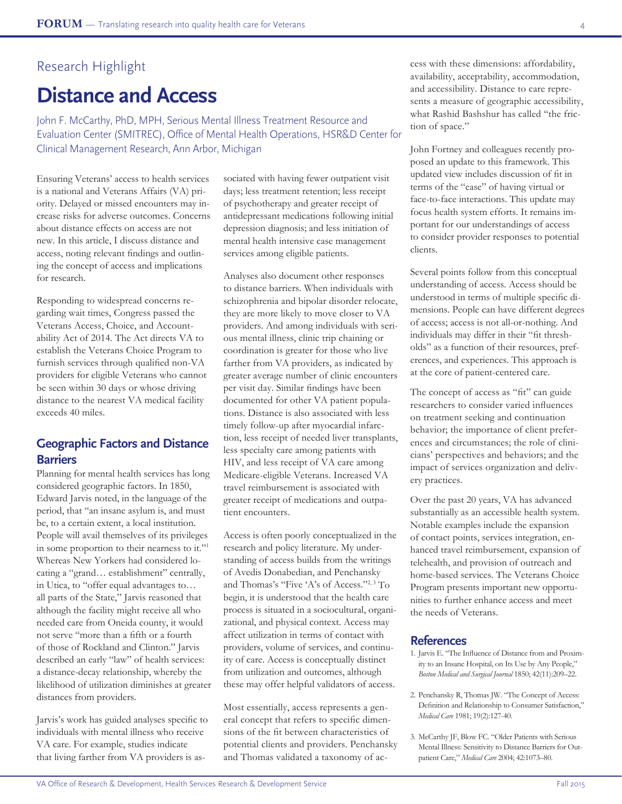# Research Highlight **Distance and Access**

John F. McCarthy, PhD, MPH, Serious Mental Illness Treatment Resource and Evaluation Center (SMITREC), Office of Mental Health Operations, HSR&D Center for Clinical Management Research, Ann Arbor, Michigan

Ensuring Veterans' access to health services is a national and Veterans Affairs (VA) priority. Delayed or missed encounters may increase risks for adverse outcomes. Concerns about distance effects on access are not new. In this article, I discuss distance and access, noting relevant findings and outlining the concept of access and implications for research.

Responding to widespread concerns regarding wait times, Congress passed the Veterans Access, Choice, and Accountability Act of 2014. The Act directs VA to establish the Veterans Choice Program to furnish services through qualified non-VA providers for eligible Veterans who cannot be seen within 30 days or whose driving distance to the nearest VA medical facility exceeds 40 miles.

## **Geographic Factors and Distance Barriers**

Planning for mental health services has long considered geographic factors. In 1850, Edward Jarvis noted, in the language of the period, that "an insane asylum is, and must be, to a certain extent, a local institution. People will avail themselves of its privileges in some proportion to their nearness to it."<sup>1</sup> Whereas New Yorkers had considered locating a "grand… establishment" centrally, in Utica, to "offer equal advantages to… all parts of the State," Jarvis reasoned that although the facility might receive all who needed care from Oneida county, it would not serve "more than a fifth or a fourth of those of Rockland and Clinton." Jarvis described an early "law" of health services: a distance-decay relationship, whereby the likelihood of utilization diminishes at greater distances from providers.

Jarvis's work has guided analyses specific to individuals with mental illness who receive VA care. For example, studies indicate that living farther from VA providers is associated with having fewer outpatient visit days; less treatment retention; less receipt of psychotherapy and greater receipt of antidepressant medications following initial depression diagnosis; and less initiation of mental health intensive case management services among eligible patients.

Analyses also document other responses to distance barriers. When individuals with schizophrenia and bipolar disorder relocate, they are more likely to move closer to VA providers. And among individuals with serious mental illness, clinic trip chaining or coordination is greater for those who live farther from VA providers, as indicated by greater average number of clinic encounters per visit day. Similar findings have been documented for other VA patient populations. Distance is also associated with less timely follow-up after myocardial infarction, less receipt of needed liver transplants, less specialty care among patients with HIV, and less receipt of VA care among Medicare-eligible Veterans. Increased VA travel reimbursement is associated with greater receipt of medications and outpatient encounters.

Access is often poorly conceptualized in the research and policy literature. My understanding of access builds from the writings of Avedis Donabedian, and Penchansky and Thomas's "Five 'A's of Access."2, 3 To begin, it is understood that the health care process is situated in a sociocultural, organizational, and physical context. Access may affect utilization in terms of contact with providers, volume of services, and continuity of care. Access is conceptually distinct from utilization and outcomes, although these may offer helpful validators of access.

Most essentially, access represents a general concept that refers to specific dimensions of the fit between characteristics of potential clients and providers. Penchansky and Thomas validated a taxonomy of access with these dimensions: affordability, availability, acceptability, accommodation, and accessibility. Distance to care represents a measure of geographic accessibility, what Rashid Bashshur has called "the friction of space."

John Fortney and colleagues recently proposed an update to this framework. This updated view includes discussion of fit in terms of the "ease" of having virtual or face-to-face interactions. This update may focus health system efforts. It remains important for our understandings of access to consider provider responses to potential clients.

Several points follow from this conceptual understanding of access. Access should be understood in terms of multiple specific dimensions. People can have different degrees of access; access is not all-or-nothing. And individuals may differ in their "fit thresholds" as a function of their resources, preferences, and experiences. This approach is at the core of patient-centered care.

The concept of access as "fit" can guide researchers to consider varied influences on treatment seeking and continuation behavior; the importance of client preferences and circumstances; the role of clinicians' perspectives and behaviors; and the impact of services organization and delivery practices.

Over the past 20 years, VA has advanced substantially as an accessible health system. Notable examples include the expansion of contact points, services integration, enhanced travel reimbursement, expansion of telehealth, and provision of outreach and home-based services. The Veterans Choice Program presents important new opportunities to further enhance access and meet the needs of Veterans.

#### **References**

- 1. Jarvis E. "The Influence of Distance from and Proximity to an Insane Hospital, on Its Use by Any People," *Boston Medical and Surgical Journal* 1850; 42(11):209–22.
- 2. Penchansky R, Thomas JW. "The Concept of Access: Definition and Relationship to Consumer Satisfaction," *Medical Care* 1981; 19(2):127-40.
- 3. McCarthy JF, Blow FC. "Older Patients with Serious Mental Illness: Sensitivity to Distance Barriers for Outpatient Care," *Medical Care* 2004; 42:1073–80.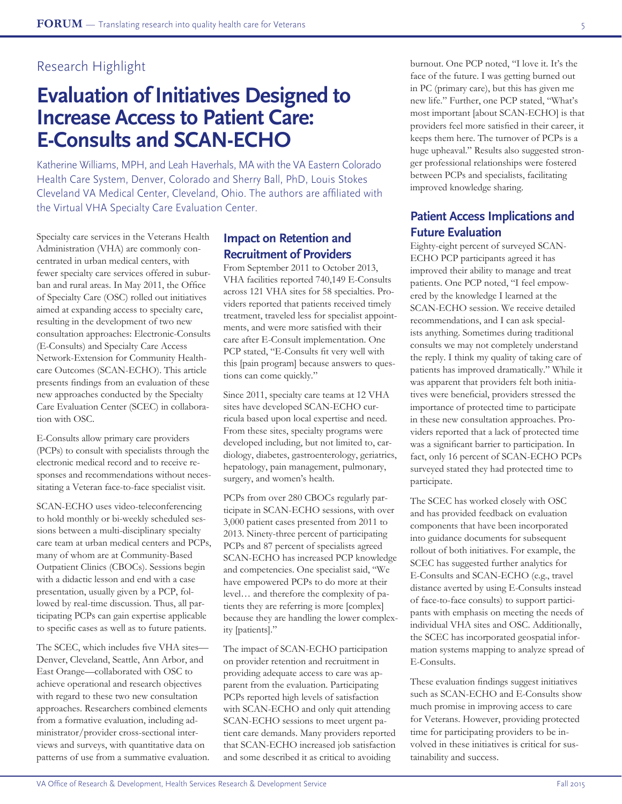# Research Highlight

# **Evaluation of Initiatives Designed to Increase Access to Patient Care: E-Consults and SCAN-ECHO**

Katherine Williams, MPH, and Leah Haverhals, MA with the VA Eastern Colorado Health Care System, Denver, Colorado and Sherry Ball, PhD, Louis Stokes Cleveland VA Medical Center, Cleveland, Ohio. The authors are affiliated with the Virtual VHA Specialty Care Evaluation Center.

Specialty care services in the Veterans Health Administration (VHA) are commonly concentrated in urban medical centers, with fewer specialty care services offered in suburban and rural areas. In May 2011, the Office of Specialty Care (OSC) rolled out initiatives aimed at expanding access to specialty care, resulting in the development of two new consultation approaches: Electronic-Consults (E-Consults) and Specialty Care Access Network-Extension for Community Healthcare Outcomes (SCAN-ECHO). This article presents findings from an evaluation of these new approaches conducted by the Specialty Care Evaluation Center (SCEC) in collaboration with OSC.

E-Consults allow primary care providers (PCPs) to consult with specialists through the electronic medical record and to receive responses and recommendations without necessitating a Veteran face-to-face specialist visit.

SCAN-ECHO uses video-teleconferencing to hold monthly or bi-weekly scheduled sessions between a multi-disciplinary specialty care team at urban medical centers and PCPs, many of whom are at Community-Based Outpatient Clinics (CBOCs). Sessions begin with a didactic lesson and end with a case presentation, usually given by a PCP, followed by real-time discussion. Thus, all participating PCPs can gain expertise applicable to specific cases as well as to future patients.

The SCEC, which includes five VHA sites— Denver, Cleveland, Seattle, Ann Arbor, and East Orange—collaborated with OSC to achieve operational and research objectives with regard to these two new consultation approaches. Researchers combined elements from a formative evaluation, including administrator/provider cross-sectional interviews and surveys, with quantitative data on patterns of use from a summative evaluation.

## **Impact on Retention and Recruitment of Providers**

From September 2011 to October 2013, VHA facilities reported 740,149 E-Consults across 121 VHA sites for 58 specialties. Providers reported that patients received timely treatment, traveled less for specialist appointments, and were more satisfied with their care after E-Consult implementation. One PCP stated, "E-Consults fit very well with this [pain program] because answers to questions can come quickly."

Since 2011, specialty care teams at 12 VHA sites have developed SCAN-ECHO curricula based upon local expertise and need. From these sites, specialty programs were developed including, but not limited to, cardiology, diabetes, gastroenterology, geriatrics, hepatology, pain management, pulmonary, surgery, and women's health.

PCPs from over 280 CBOCs regularly participate in SCAN-ECHO sessions, with over 3,000 patient cases presented from 2011 to 2013. Ninety-three percent of participating PCPs and 87 percent of specialists agreed SCAN-ECHO has increased PCP knowledge and competencies. One specialist said, "We have empowered PCPs to do more at their level… and therefore the complexity of patients they are referring is more [complex] because they are handling the lower complexity [patients]."

The impact of SCAN-ECHO participation on provider retention and recruitment in providing adequate access to care was apparent from the evaluation. Participating PCPs reported high levels of satisfaction with SCAN-ECHO and only quit attending SCAN-ECHO sessions to meet urgent patient care demands. Many providers reported that SCAN-ECHO increased job satisfaction and some described it as critical to avoiding

burnout. One PCP noted, "I love it. It's the face of the future. I was getting burned out in PC (primary care), but this has given me new life." Further, one PCP stated, "What's most important [about SCAN-ECHO] is that providers feel more satisfied in their career, it keeps them here. The turnover of PCPs is a huge upheaval." Results also suggested stronger professional relationships were fostered between PCPs and specialists, facilitating improved knowledge sharing.

# **Patient Access Implications and Future Evaluation**

Eighty-eight percent of surveyed SCAN-ECHO PCP participants agreed it has improved their ability to manage and treat patients. One PCP noted, "I feel empowered by the knowledge I learned at the SCAN-ECHO session. We receive detailed recommendations, and I can ask specialists anything. Sometimes during traditional consults we may not completely understand the reply. I think my quality of taking care of patients has improved dramatically." While it was apparent that providers felt both initiatives were beneficial, providers stressed the importance of protected time to participate in these new consultation approaches. Providers reported that a lack of protected time was a significant barrier to participation. In fact, only 16 percent of SCAN-ECHO PCPs surveyed stated they had protected time to participate.

The SCEC has worked closely with OSC and has provided feedback on evaluation components that have been incorporated into guidance documents for subsequent rollout of both initiatives. For example, the SCEC has suggested further analytics for E-Consults and SCAN-ECHO (e.g., travel distance averted by using E-Consults instead of face-to-face consults) to support participants with emphasis on meeting the needs of individual VHA sites and OSC. Additionally, the SCEC has incorporated geospatial information systems mapping to analyze spread of E-Consults.

These evaluation findings suggest initiatives such as SCAN-ECHO and E-Consults show much promise in improving access to care for Veterans. However, providing protected time for participating providers to be involved in these initiatives is critical for sustainability and success.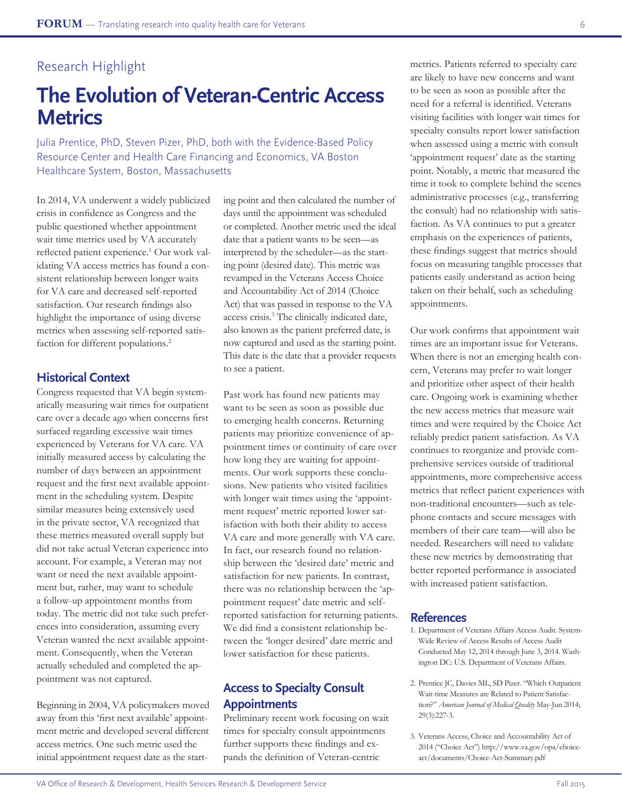# Research Highlight

# **The Evolution of Veteran-Centric Access Metrics**

Julia Prentice, PhD, Steven Pizer, PhD, both with the Evidence-Based Policy Resource Center and Health Care Financing and Economics, VA Boston Healthcare System, Boston, Massachusetts

In 2014, VA underwent a widely publicized crisis in confidence as Congress and the public questioned whether appointment wait time metrics used by VA accurately reflected patient experience.<sup>1</sup> Our work validating VA access metrics has found a consistent relationship between longer waits for VA care and decreased self-reported satisfaction. Our research findings also highlight the importance of using diverse metrics when assessing self-reported satisfaction for different populations.<sup>2</sup>

### **Historical Context**

Congress requested that VA begin systematically measuring wait times for outpatient care over a decade ago when concerns first surfaced regarding excessive wait times experienced by Veterans for VA care. VA initially measured access by calculating the number of days between an appointment request and the first next available appointment in the scheduling system. Despite similar measures being extensively used in the private sector, VA recognized that these metrics measured overall supply but did not take actual Veteran experience into account. For example, a Veteran may not want or need the next available appointment but, rather, may want to schedule a follow-up appointment months from today. The metric did not take such preferences into consideration, assuming every Veteran wanted the next available appointment. Consequently, when the Veteran actually scheduled and completed the appointment was not captured.

Beginning in 2004, VA policymakers moved away from this 'first next available' appointment metric and developed several different access metrics. One such metric used the initial appointment request date as the starting point and then calculated the number of days until the appointment was scheduled or completed. Another metric used the ideal date that a patient wants to be seen—as interpreted by the scheduler—as the starting point (desired date). This metric was revamped in the Veterans Access Choice and Accountability Act of 2014 (Choice Act) that was passed in response to the VA access crisis.<sup>3</sup> The clinically indicated date, also known as the patient preferred date, is now captured and used as the starting point. This date is the date that a provider requests to see a patient.

Past work has found new patients may want to be seen as soon as possible due to emerging health concerns. Returning patients may prioritize convenience of appointment times or continuity of care over how long they are waiting for appointments. Our work supports these conclusions. New patients who visited facilities with longer wait times using the 'appointment request' metric reported lower satisfaction with both their ability to access VA care and more generally with VA care. In fact, our research found no relationship between the 'desired date' metric and satisfaction for new patients. In contrast, there was no relationship between the 'appointment request' date metric and selfreported satisfaction for returning patients. We did find a consistent relationship between the 'longer desired' date metric and lower satisfaction for these patients.

## **Access to Specialty Consult Appointments**

Preliminary recent work focusing on wait times for specialty consult appointments further supports these findings and expands the definition of Veteran-centric

metrics. Patients referred to specialty care are likely to have new concerns and want to be seen as soon as possible after the need for a referral is identified. Veterans visiting facilities with longer wait times for specialty consults report lower satisfaction when assessed using a metric with consult 'appointment request' date as the starting point. Notably, a metric that measured the time it took to complete behind the scenes administrative processes (e.g., transferring the consult) had no relationship with satisfaction. As VA continues to put a greater emphasis on the experiences of patients, these findings suggest that metrics should focus on measuring tangible processes that patients easily understand as action being taken on their behalf, such as scheduling appointments.

Our work confirms that appointment wait times are an important issue for Veterans. When there is not an emerging health concern, Veterans may prefer to wait longer and prioritize other aspect of their health care. Ongoing work is examining whether the new access metrics that measure wait times and were required by the Choice Act reliably predict patient satisfaction. As VA continues to reorganize and provide comprehensive services outside of traditional appointments, more comprehensive access metrics that reflect patient experiences with non-traditional encounters—such as telephone contacts and secure messages with members of their care team—will also be needed. Researchers will need to validate these new metrics by demonstrating that better reported performance is associated with increased patient satisfaction.

#### **References**

- 1. Department of Veterans Affairs Access Audit. System-Wide Review of Access Results of Access Audit Conducted May 12, 2014 through June 3, 2014. Washington DC: U.S. Department of Veterans Affairs.
- 2. Prentice JC, Davies ML, SD Pizer. "Which Outpatient Wait-time Measures are Related to Patient Satisfaction?" *American Journal of Medical Quality* May-Jun 2014; 29(3):227-3.
- 3. Veterans Access, Choice and Accountability Act of 2014 ("Choice Act") http://www.va.gov/opa/choiceact/documents/Choice-Act-Summary.pdf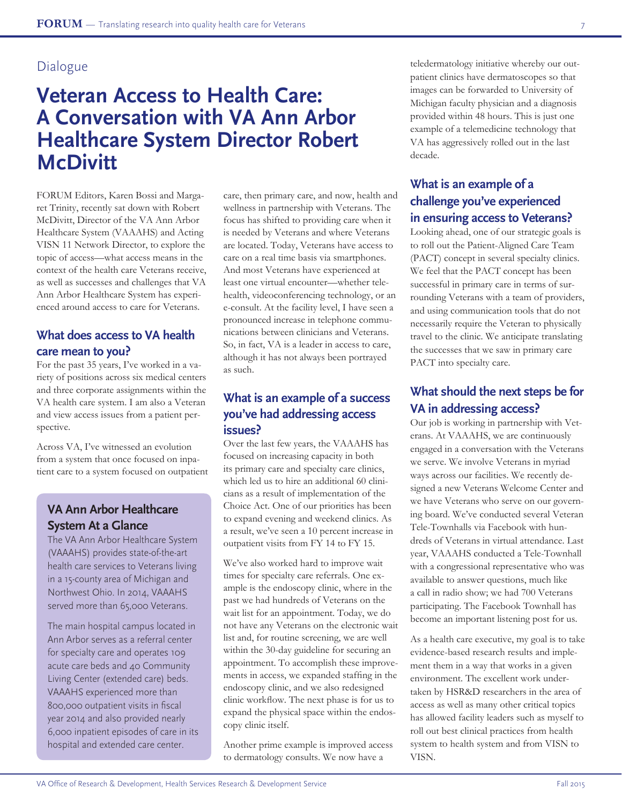# Dialogue

# **Veteran Access to Health Care: A Conversation with VA Ann Arbor Healthcare System Director Robert McDivitt**

FORUM Editors, Karen Bossi and Margaret Trinity, recently sat down with Robert McDivitt, Director of the VA Ann Arbor Healthcare System (VAAAHS) and Acting VISN 11 Network Director, to explore the topic of access—what access means in the context of the health care Veterans receive, as well as successes and challenges that VA Ann Arbor Healthcare System has experienced around access to care for Veterans.

## **What does access to VA health care mean to you?**

For the past 35 years, I've worked in a variety of positions across six medical centers and three corporate assignments within the VA health care system. I am also a Veteran and view access issues from a patient perspective.

Across VA, I've witnessed an evolution from a system that once focused on inpatient care to a system focused on outpatient

# **VA Ann Arbor Healthcare System At a Glance**

The VA Ann Arbor Healthcare System (VAAAHS) provides state-of-the-art health care services to Veterans living in a 15-county area of Michigan and Northwest Ohio. In 2014, VAAAHS served more than 65,000 Veterans.

The main hospital campus located in Ann Arbor serves as a referral center for specialty care and operates 109 acute care beds and 40 Community Living Center (extended care) beds. VAAAHS experienced more than 800,000 outpatient visits in fiscal year 2014 and also provided nearly 6,000 inpatient episodes of care in its hospital and extended care center.

care, then primary care, and now, health and wellness in partnership with Veterans. The focus has shifted to providing care when it is needed by Veterans and where Veterans are located. Today, Veterans have access to care on a real time basis via smartphones. And most Veterans have experienced at least one virtual encounter—whether telehealth, videoconferencing technology, or an e-consult. At the facility level, I have seen a pronounced increase in telephone communications between clinicians and Veterans. So, in fact, VA is a leader in access to care, although it has not always been portrayed as such.

## **What is an example of a success you've had addressing access issues?**

Over the last few years, the VAAAHS has focused on increasing capacity in both its primary care and specialty care clinics, which led us to hire an additional 60 clinicians as a result of implementation of the Choice Act. One of our priorities has been to expand evening and weekend clinics. As a result, we've seen a 10 percent increase in outpatient visits from FY 14 to FY 15.

We've also worked hard to improve wait times for specialty care referrals. One example is the endoscopy clinic, where in the past we had hundreds of Veterans on the wait list for an appointment. Today, we do not have any Veterans on the electronic wait list and, for routine screening, we are well within the 30-day guideline for securing an appointment. To accomplish these improvements in access, we expanded staffing in the endoscopy clinic, and we also redesigned clinic workflow. The next phase is for us to expand the physical space within the endoscopy clinic itself.

Another prime example is improved access to dermatology consults. We now have a

teledermatology initiative whereby our outpatient clinics have dermatoscopes so that images can be forwarded to University of Michigan faculty physician and a diagnosis provided within 48 hours. This is just one example of a telemedicine technology that VA has aggressively rolled out in the last decade.

# **What is an example of a challenge you've experienced in ensuring access to Veterans?**

Looking ahead, one of our strategic goals is to roll out the Patient-Aligned Care Team (PACT) concept in several specialty clinics. We feel that the PACT concept has been successful in primary care in terms of surrounding Veterans with a team of providers, and using communication tools that do not necessarily require the Veteran to physically travel to the clinic. We anticipate translating the successes that we saw in primary care PACT into specialty care.

## **What should the next steps be for VA in addressing access?**

Our job is working in partnership with Veterans. At VAAAHS, we are continuously engaged in a conversation with the Veterans we serve. We involve Veterans in myriad ways across our facilities. We recently designed a new Veterans Welcome Center and we have Veterans who serve on our governing board. We've conducted several Veteran Tele-Townhalls via Facebook with hundreds of Veterans in virtual attendance. Last year, VAAAHS conducted a Tele-Townhall with a congressional representative who was available to answer questions, much like a call in radio show; we had 700 Veterans participating. The Facebook Townhall has become an important listening post for us.

As a health care executive, my goal is to take evidence-based research results and implement them in a way that works in a given environment. The excellent work undertaken by HSR&D researchers in the area of access as well as many other critical topics has allowed facility leaders such as myself to roll out best clinical practices from health system to health system and from VISN to VISN.